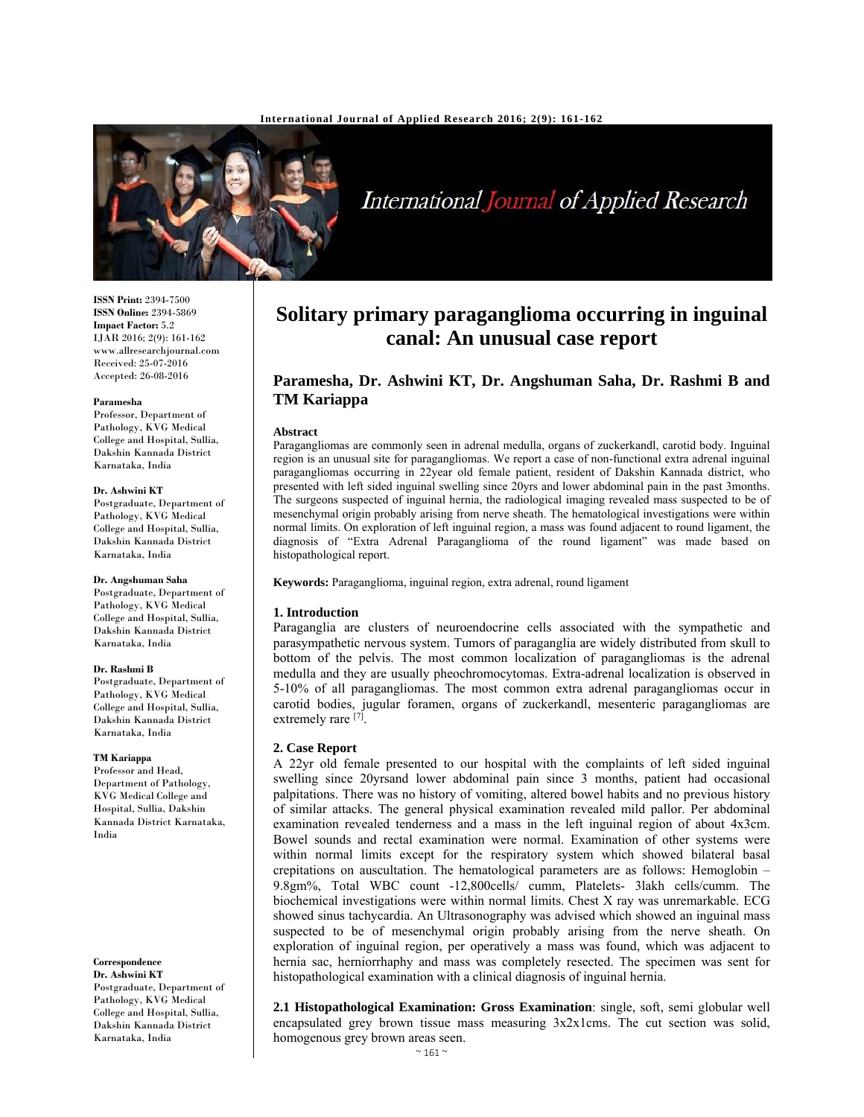

# International Journal of Applied Research

**ISSN Print:** 2394-7500 **ISSN Online:** 2394-5869 **Impact Factor:** 5.2 IJAR 2016; 2(9): 161-162 www.allresearchjournal.com Received: 25-07-2016 Accepted: 26-08-2016

#### **Paramesha**

Professor, Department of Pathology, KVG Medical College and Hospital, Sullia, Dakshin Kannada District Karnataka, India

#### **Dr. Ashwini KT**

Postgraduate, Department of Pathology, KVG Medical College and Hospital, Sullia, Dakshin Kannada District Karnataka, India

### **Dr. Angshuman Saha**

Postgraduate, Department of Pathology, KVG Medical College and Hospital, Sullia, Dakshin Kannada District Karnataka, India

#### **Dr. Rashmi B**

Postgraduate, Department of Pathology, KVG Medical College and Hospital, Sullia, Dakshin Kannada District Karnataka, India

#### **TM Kariappa**

Professor and Head, Department of Pathology, KVG Medical College and Hospital, Sullia, Dakshin Kannada District Karnataka, India

### **Correspondence**

**Dr. Ashwini KT**  Postgraduate, Department of Pathology, KVG Medical College and Hospital, Sullia, Dakshin Kannada District Karnataka, India

## **Solitary primary paraganglioma occurring in inguinal canal: An unusual case report**

### **Paramesha, Dr. Ashwini KT, Dr. Angshuman Saha, Dr. Rashmi B and TM Kariappa**

#### **Abstract**

Paragangliomas are commonly seen in adrenal medulla, organs of zuckerkandl, carotid body. Inguinal region is an unusual site for paragangliomas. We report a case of non-functional extra adrenal inguinal paragangliomas occurring in 22year old female patient, resident of Dakshin Kannada district, who presented with left sided inguinal swelling since 20yrs and lower abdominal pain in the past 3months. The surgeons suspected of inguinal hernia, the radiological imaging revealed mass suspected to be of mesenchymal origin probably arising from nerve sheath. The hematological investigations were within normal limits. On exploration of left inguinal region, a mass was found adjacent to round ligament, the diagnosis of "Extra Adrenal Paraganglioma of the round ligament" was made based on histopathological report.

**Keywords:** Paraganglioma, inguinal region, extra adrenal, round ligament

### **1. Introduction**

Paraganglia are clusters of neuroendocrine cells associated with the sympathetic and parasympathetic nervous system. Tumors of paraganglia are widely distributed from skull to bottom of the pelvis. The most common localization of paragangliomas is the adrenal medulla and they are usually pheochromocytomas. Extra-adrenal localization is observed in 5-10% of all paragangliomas. The most common extra adrenal paragangliomas occur in carotid bodies, jugular foramen, organs of zuckerkandl, mesenteric paragangliomas are extremely rare [7].

### **2. Case Report**

A 22yr old female presented to our hospital with the complaints of left sided inguinal swelling since 20yrsand lower abdominal pain since 3 months, patient had occasional palpitations. There was no history of vomiting, altered bowel habits and no previous history of similar attacks. The general physical examination revealed mild pallor. Per abdominal examination revealed tenderness and a mass in the left inguinal region of about 4x3cm. Bowel sounds and rectal examination were normal. Examination of other systems were within normal limits except for the respiratory system which showed bilateral basal crepitations on auscultation. The hematological parameters are as follows: Hemoglobin – 9.8gm%, Total WBC count -12,800cells/ cumm, Platelets- 3lakh cells/cumm. The biochemical investigations were within normal limits. Chest X ray was unremarkable. ECG showed sinus tachycardia. An Ultrasonography was advised which showed an inguinal mass suspected to be of mesenchymal origin probably arising from the nerve sheath. On exploration of inguinal region, per operatively a mass was found, which was adjacent to hernia sac, herniorrhaphy and mass was completely resected. The specimen was sent for histopathological examination with a clinical diagnosis of inguinal hernia.

**2.1 Histopathological Examination: Gross Examination**: single, soft, semi globular well encapsulated grey brown tissue mass measuring 3x2x1cms. The cut section was solid, homogenous grey brown areas seen.